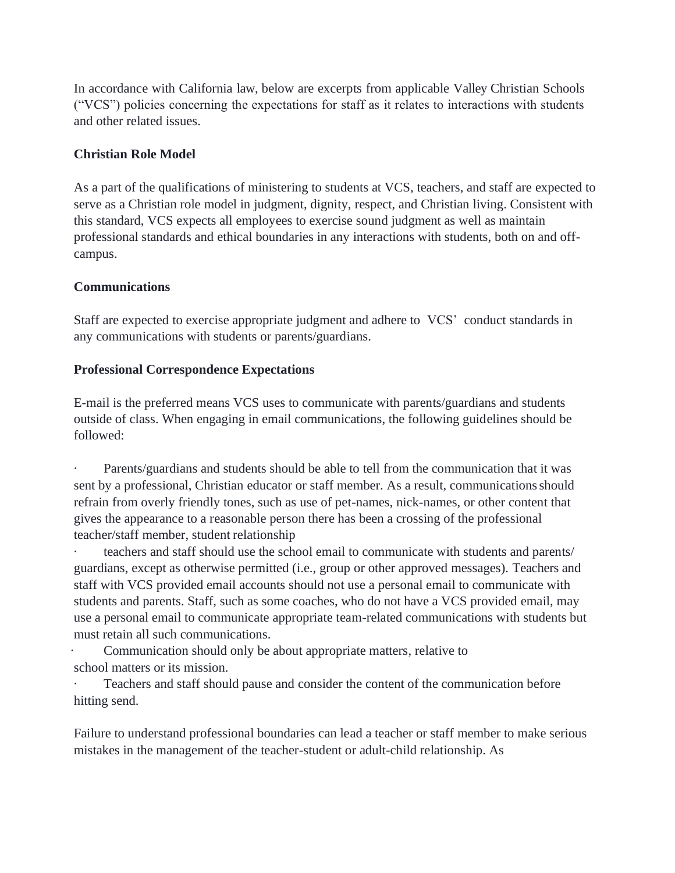In accordance with California law, below are excerpts from applicable Valley Christian Schools ("VCS") policies concerning the expectations for staff as it relates to interactions with students and other related issues.

### **Christian Role Model**

As a part of the qualifications of ministering to students at VCS, teachers, and staff are expected to serve as a Christian role model in judgment, dignity, respect, and Christian living. Consistent with this standard, VCS expects all employees to exercise sound judgment as well as maintain professional standards and ethical boundaries in any interactions with students, both on and offcampus.

## **Communications**

Staff are expected to exercise appropriate judgment and adhere to VCS' conduct standards in any communications with students or parents/guardians.

# **Professional Correspondence Expectations**

E-mail is the preferred means VCS uses to communicate with parents/guardians and students outside of class. When engaging in email communications, the following guidelines should be followed:

· Parents/guardians and students should be able to tell from the communication that it was sent by a professional, Christian educator or staff member. As a result, communicationsshould refrain from overly friendly tones, such as use of pet-names, nick-names, or other content that gives the appearance to a reasonable person there has been a crossing of the professional teacher/staff member, student relationship

teachers and staff should use the school email to communicate with students and parents/ guardians, except as otherwise permitted (i.e., group or other approved messages). Teachers and staff with VCS provided email accounts should not use a personal email to communicate with students and parents. Staff, such as some coaches, who do not have a VCS provided email, may use a personal email to communicate appropriate team-related communications with students but must retain all such communications.

Communication should only be about appropriate matters, relative to school matters or its mission.

Teachers and staff should pause and consider the content of the communication before hitting send.

Failure to understand professional boundaries can lead a teacher or staff member to make serious mistakes in the management of the teacher-student or adult-child relationship. As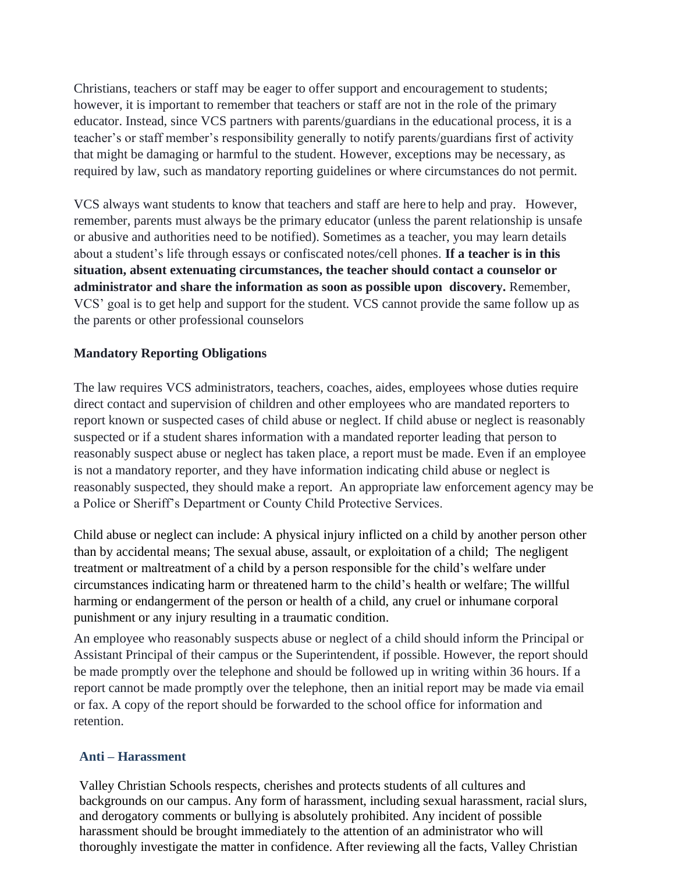Christians, teachers or staff may be eager to offer support and encouragement to students; however, it is important to remember that teachers or staff are not in the role of the primary educator. Instead, since VCS partners with parents/guardians in the educational process, it is a teacher's or staff member's responsibility generally to notify parents/guardians first of activity that might be damaging or harmful to the student. However, exceptions may be necessary, as required by law, such as mandatory reporting guidelines or where circumstances do not permit.

VCS always want students to know that teachers and staff are here to help and pray. However, remember, parents must always be the primary educator (unless the parent relationship is unsafe or abusive and authorities need to be notified). Sometimes as a teacher, you may learn details about a student's life through essays or confiscated notes/cell phones. **If a teacher is in this situation, absent extenuating circumstances, the teacher should contact a counselor or administrator and share the information as soon as possible upon discovery.** Remember, VCS' goal is to get help and support for the student. VCS cannot provide the same follow up as the parents or other professional counselors

#### **Mandatory Reporting Obligations**

The law requires VCS administrators, teachers, coaches, aides, employees whose duties require direct contact and supervision of children and other employees who are mandated reporters to report known or suspected cases of child abuse or neglect. If child abuse or neglect is reasonably suspected or if a student shares information with a mandated reporter leading that person to reasonably suspect abuse or neglect has taken place, a report must be made. Even if an employee is not a mandatory reporter, and they have information indicating child abuse or neglect is reasonably suspected, they should make a report. An appropriate law enforcement agency may be a Police or Sheriff's Department or County Child Protective Services.

Child abuse or neglect can include: A physical injury inflicted on a child by another person other than by accidental means; The sexual abuse, assault, or exploitation of a child; The negligent treatment or maltreatment of a child by a person responsible for the child's welfare under circumstances indicating harm or threatened harm to the child's health or welfare; The willful harming or endangerment of the person or health of a child, any cruel or inhumane corporal punishment or any injury resulting in a traumatic condition.

An employee who reasonably suspects abuse or neglect of a child should inform the Principal or Assistant Principal of their campus or the Superintendent, if possible. However, the report should be made promptly over the telephone and should be followed up in writing within 36 hours. If a report cannot be made promptly over the telephone, then an initial report may be made via email or fax. A copy of the report should be forwarded to the school office for information and retention.

#### **Anti – Harassment**

Valley Christian Schools respects, cherishes and protects students of all cultures and backgrounds on our campus. Any form of harassment, including sexual harassment, racial slurs, and derogatory comments or bullying is absolutely prohibited. Any incident of possible harassment should be brought immediately to the attention of an administrator who will thoroughly investigate the matter in confidence. After reviewing all the facts, Valley Christian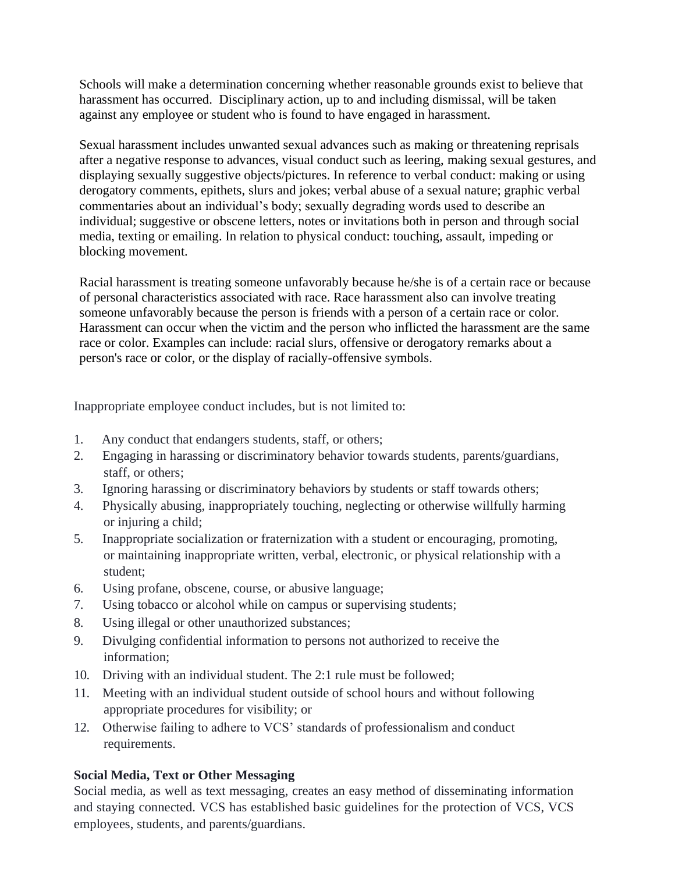Schools will make a determination concerning whether reasonable grounds exist to believe that harassment has occurred. Disciplinary action, up to and including dismissal, will be taken against any employee or student who is found to have engaged in harassment.

Sexual harassment includes unwanted sexual advances such as making or threatening reprisals after a negative response to advances, visual conduct such as leering, making sexual gestures, and displaying sexually suggestive objects/pictures. In reference to verbal conduct: making or using derogatory comments, epithets, slurs and jokes; verbal abuse of a sexual nature; graphic verbal commentaries about an individual's body; sexually degrading words used to describe an individual; suggestive or obscene letters, notes or invitations both in person and through social media, texting or emailing. In relation to physical conduct: touching, assault, impeding or blocking movement.

Racial harassment is treating someone unfavorably because he/she is of a certain race or because of personal characteristics associated with race. Race harassment also can involve treating someone unfavorably because the person is friends with a person of a certain race or color. Harassment can occur when the victim and the person who inflicted the harassment are the same race or color. Examples can include: racial slurs, offensive or derogatory remarks about a person's race or color, or the display of racially-offensive symbols.

Inappropriate employee conduct includes, but is not limited to:

- 1. Any conduct that endangers students, staff, or others;
- 2. Engaging in harassing or discriminatory behavior towards students, parents/guardians, staff, or others;
- 3. Ignoring harassing or discriminatory behaviors by students or staff towards others;
- 4. Physically abusing, inappropriately touching, neglecting or otherwise willfully harming or injuring a child;
- 5. Inappropriate socialization or fraternization with a student or encouraging, promoting, or maintaining inappropriate written, verbal, electronic, or physical relationship with a student;
- 6. Using profane, obscene, course, or abusive language;
- 7. Using tobacco or alcohol while on campus or supervising students;
- 8. Using illegal or other unauthorized substances;
- 9. Divulging confidential information to persons not authorized to receive the information;
- 10. Driving with an individual student. The 2:1 rule must be followed;
- 11. Meeting with an individual student outside of school hours and without following appropriate procedures for visibility; or
- 12. Otherwise failing to adhere to VCS' standards of professionalism and conduct requirements.

#### **Social Media, Text or Other Messaging**

Social media, as well as text messaging, creates an easy method of disseminating information and staying connected. VCS has established basic guidelines for the protection of VCS, VCS employees, students, and parents/guardians.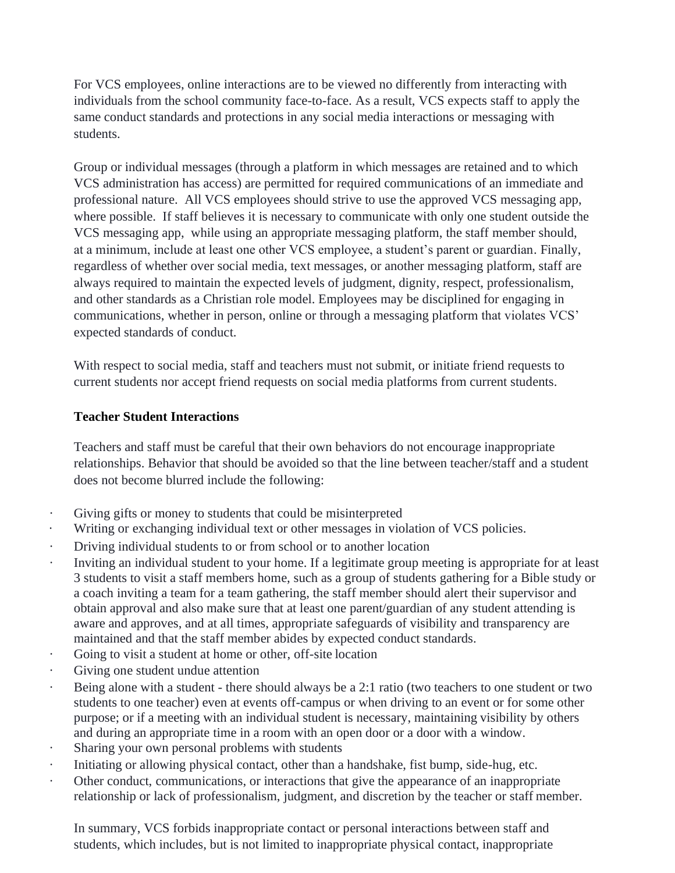For VCS employees, online interactions are to be viewed no differently from interacting with individuals from the school community face-to-face. As a result, VCS expects staff to apply the same conduct standards and protections in any social media interactions or messaging with students.

Group or individual messages (through a platform in which messages are retained and to which VCS administration has access) are permitted for required communications of an immediate and professional nature. All VCS employees should strive to use the approved VCS messaging app, where possible. If staff believes it is necessary to communicate with only one student outside the VCS messaging app, while using an appropriate messaging platform, the staff member should, at a minimum, include at least one other VCS employee, a student's parent or guardian. Finally, regardless of whether over social media, text messages, or another messaging platform, staff are always required to maintain the expected levels of judgment, dignity, respect, professionalism, and other standards as a Christian role model. Employees may be disciplined for engaging in communications, whether in person, online or through a messaging platform that violates VCS' expected standards of conduct.

With respect to social media, staff and teachers must not submit, or initiate friend requests to current students nor accept friend requests on social media platforms from current students.

#### **Teacher Student Interactions**

Teachers and staff must be careful that their own behaviors do not encourage inappropriate relationships. Behavior that should be avoided so that the line between teacher/staff and a student does not become blurred include the following:

- · Giving gifts or money to students that could be misinterpreted
- · Writing or exchanging individual text or other messages in violation of VCS policies.
- Driving individual students to or from school or to another location
- · Inviting an individual student to your home. If a legitimate group meeting is appropriate for at least 3 students to visit a staff members home, such as a group of students gathering for a Bible study or a coach inviting a team for a team gathering, the staff member should alert their supervisor and obtain approval and also make sure that at least one parent/guardian of any student attending is aware and approves, and at all times, appropriate safeguards of visibility and transparency are maintained and that the staff member abides by expected conduct standards.
- Going to visit a student at home or other, off-site location
- · Giving one student undue attention
- Being alone with a student there should always be a 2:1 ratio (two teachers to one student or two students to one teacher) even at events off-campus or when driving to an event or for some other purpose; or if a meeting with an individual student is necessary, maintaining visibility by others and during an appropriate time in a room with an open door or a door with a window.
- Sharing your own personal problems with students
- · Initiating or allowing physical contact, other than a handshake, fist bump, side-hug, etc.
- Other conduct, communications, or interactions that give the appearance of an inappropriate relationship or lack of professionalism, judgment, and discretion by the teacher or staff member.

In summary, VCS forbids inappropriate contact or personal interactions between staff and students, which includes, but is not limited to inappropriate physical contact, inappropriate